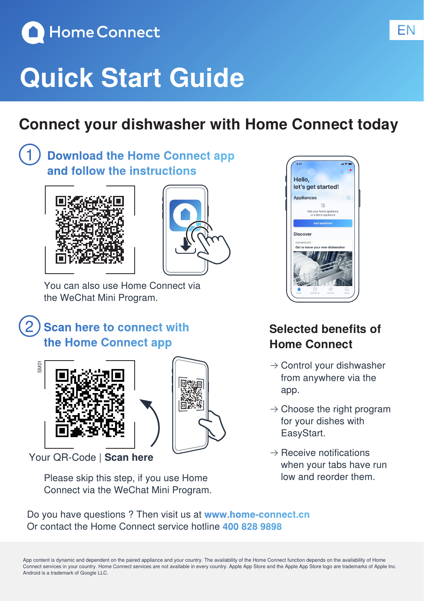

## **Quick Start Guide**

## **Connect your dishwasher with Home Connect today**

### **Download the Home Connect app and follow the instructions**





You can also use Home Connect via the WeChat Mini Program.

### **Scan here to connect with the Home Connect app**





Your QR-Code | **Scan here**

Please skip this step, if you use Home Connect via the WeChat Mini Program.



### **Selected benefits of Home Connect**

- $\rightarrow$  Control your dishwasher from anywhere via the app.
- $\rightarrow$  Choose the right program for your dishes with EasyStart.
- $\rightarrow$  Receive notifications when your tabs have run low and reorder them.

Do you have questions ? Then visit us at **www.home-connect.cn** Or contact the Home Connect service hotline **400 828 9898**